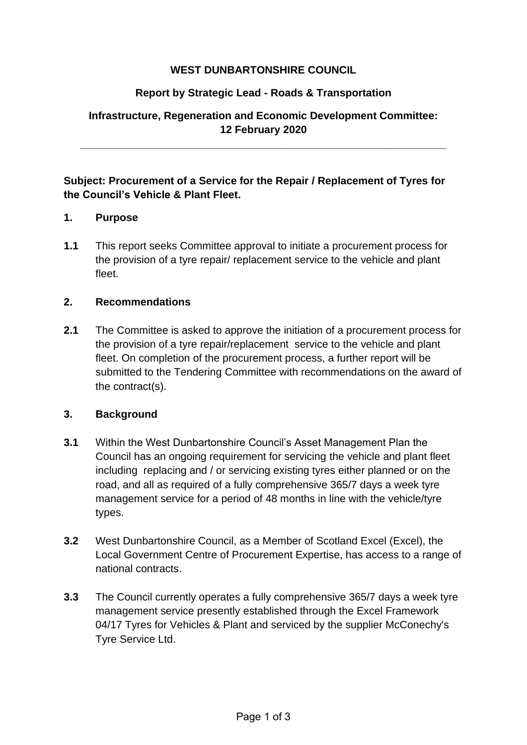# **WEST DUNBARTONSHIRE COUNCIL**

# **Report by Strategic Lead - Roads & Transportation**

# **Infrastructure, Regeneration and Economic Development Committee: 12 February 2020**

**\_\_\_\_\_\_\_\_\_\_\_\_\_\_\_\_\_\_\_\_\_\_\_\_\_\_\_\_\_\_\_\_\_\_\_\_\_\_\_\_\_\_\_\_\_\_\_\_\_\_\_\_\_\_\_\_\_\_\_\_\_\_**

# **Subject: Procurement of a Service for the Repair / Replacement of Tyres for the Council's Vehicle & Plant Fleet.**

## **1. Purpose**

**1.1** This report seeks Committee approval to initiate a procurement process for the provision of a tyre repair/ replacement service to the vehicle and plant fleet.

## **2. Recommendations**

**2.1** The Committee is asked to approve the initiation of a procurement process for the provision of a tyre repair/replacement service to the vehicle and plant fleet. On completion of the procurement process, a further report will be submitted to the Tendering Committee with recommendations on the award of the contract(s).

#### **3. Background**

- **3.1** Within the West Dunbartonshire Council's Asset Management Plan the Council has an ongoing requirement for servicing the vehicle and plant fleet including replacing and / or servicing existing tyres either planned or on the road, and all as required of a fully comprehensive 365/7 days a week tyre management service for a period of 48 months in line with the vehicle/tyre types.
- **3.2** West Dunbartonshire Council, as a Member of Scotland Excel (Excel), the Local Government Centre of Procurement Expertise, has access to a range of national contracts.
- **3.3** The Council currently operates a fully comprehensive 365/7 days a week tyre management service presently established through the Excel Framework 04/17 Tyres for Vehicles & Plant and serviced by the supplier McConechy's Tyre Service Ltd.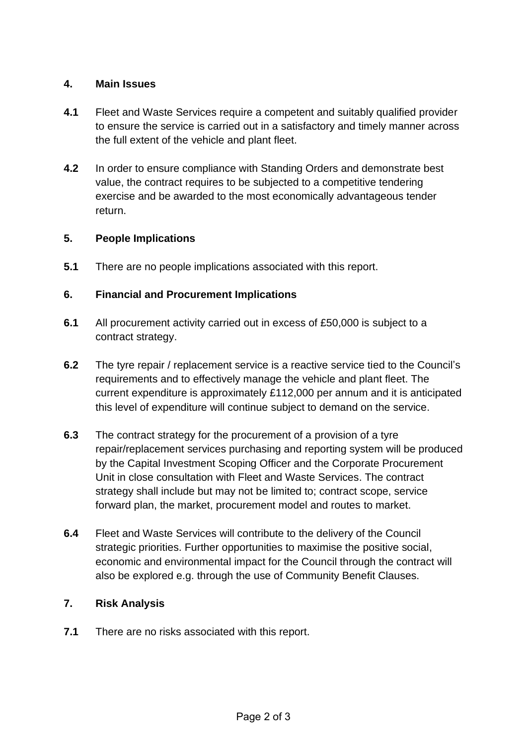## **4. Main Issues**

- **4.1** Fleet and Waste Services require a competent and suitably qualified provider to ensure the service is carried out in a satisfactory and timely manner across the full extent of the vehicle and plant fleet.
- **4.2** In order to ensure compliance with Standing Orders and demonstrate best value, the contract requires to be subjected to a competitive tendering exercise and be awarded to the most economically advantageous tender return.

# **5. People Implications**

**5.1** There are no people implications associated with this report.

# **6. Financial and Procurement Implications**

- **6.1** All procurement activity carried out in excess of £50,000 is subject to a contract strategy.
- **6.2** The tyre repair / replacement service is a reactive service tied to the Council's requirements and to effectively manage the vehicle and plant fleet. The current expenditure is approximately £112,000 per annum and it is anticipated this level of expenditure will continue subject to demand on the service.
- **6.3** The contract strategy for the procurement of a provision of a tyre repair/replacement services purchasing and reporting system will be produced by the Capital Investment Scoping Officer and the Corporate Procurement Unit in close consultation with Fleet and Waste Services. The contract strategy shall include but may not be limited to; contract scope, service forward plan, the market, procurement model and routes to market.
- **6.4** Fleet and Waste Services will contribute to the delivery of the Council strategic priorities. Further opportunities to maximise the positive social, economic and environmental impact for the Council through the contract will also be explored e.g. through the use of Community Benefit Clauses.

# **7. Risk Analysis**

**7.1** There are no risks associated with this report.